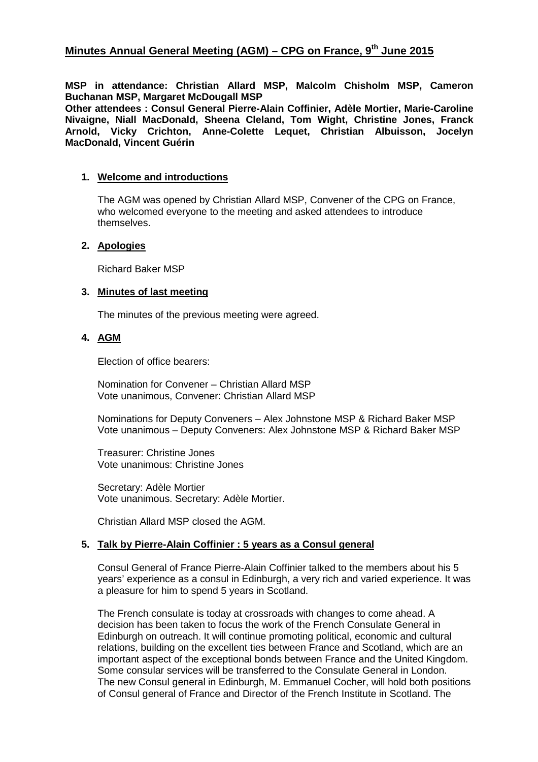**MSP in attendance: Christian Allard MSP, Malcolm Chisholm MSP, Cameron Buchanan MSP, Margaret McDougall MSP** 

**Other attendees : Consul General Pierre-Alain Coffinier, Adèle Mortier, Marie-Caroline Nivaigne, Niall MacDonald, Sheena Cleland, Tom Wight, Christine Jones, Franck Arnold, Vicky Crichton, Anne-Colette Lequet, Christian Albuisson, Jocelyn MacDonald, Vincent Guérin** 

## **1. Welcome and introductions**

The AGM was opened by Christian Allard MSP, Convener of the CPG on France, who welcomed everyone to the meeting and asked attendees to introduce themselves.

## **2. Apologies**

Richard Baker MSP

#### **3. Minutes of last meeting**

The minutes of the previous meeting were agreed.

# **4. AGM**

Election of office bearers:

Nomination for Convener – Christian Allard MSP Vote unanimous, Convener: Christian Allard MSP

Nominations for Deputy Conveners – Alex Johnstone MSP & Richard Baker MSP Vote unanimous – Deputy Conveners: Alex Johnstone MSP & Richard Baker MSP

Treasurer: Christine Jones Vote unanimous: Christine Jones

Secretary: Adèle Mortier Vote unanimous. Secretary: Adèle Mortier.

Christian Allard MSP closed the AGM.

# **5. Talk by Pierre-Alain Coffinier : 5 years as a Consul general**

Consul General of France Pierre-Alain Coffinier talked to the members about his 5 years' experience as a consul in Edinburgh, a very rich and varied experience. It was a pleasure for him to spend 5 years in Scotland.

The French consulate is today at crossroads with changes to come ahead. A decision has been taken to focus the work of the French Consulate General in Edinburgh on outreach. It will continue promoting political, economic and cultural relations, building on the excellent ties between France and Scotland, which are an important aspect of the exceptional bonds between France and the United Kingdom. Some consular services will be transferred to the Consulate General in London. The new Consul general in Edinburgh, M. Emmanuel Cocher, will hold both positions of Consul general of France and Director of the French Institute in Scotland. The